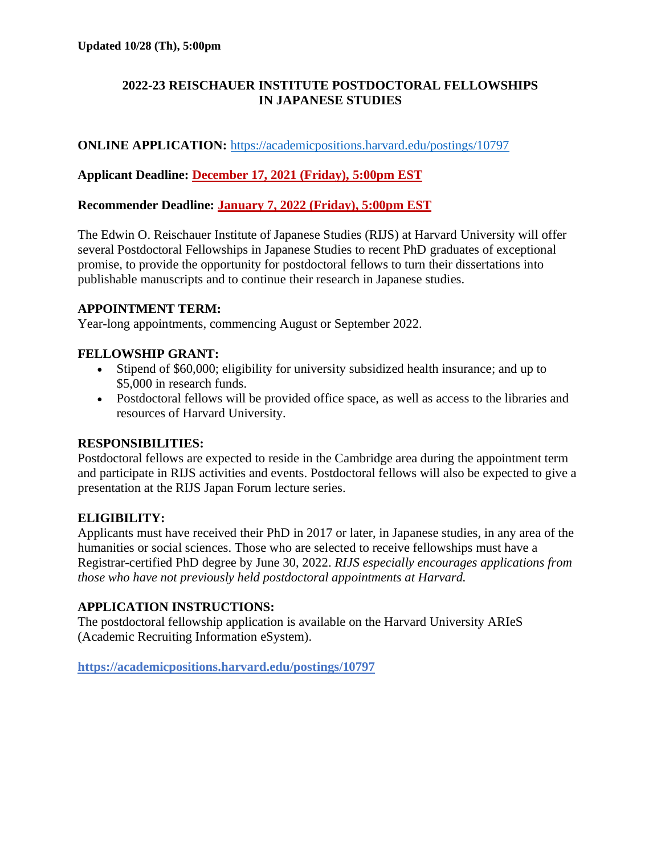### **2022-23 REISCHAUER INSTITUTE POSTDOCTORAL FELLOWSHIPS IN JAPANESE STUDIES**

**ONLINE APPLICATION:** <https://academicpositions.harvard.edu/postings/10797>

**Applicant Deadline: December 17, 2021 (Friday), 5:00pm EST**

### **Recommender Deadline: January 7, 2022 (Friday), 5:00pm EST**

The Edwin O. Reischauer Institute of Japanese Studies (RIJS) at Harvard University will offer several Postdoctoral Fellowships in Japanese Studies to recent PhD graduates of exceptional promise, to provide the opportunity for postdoctoral fellows to turn their dissertations into publishable manuscripts and to continue their research in Japanese studies.

#### **APPOINTMENT TERM:**

Year-long appointments, commencing August or September 2022.

### **FELLOWSHIP GRANT:**

- Stipend of \$60,000; eligibility for university subsidized health insurance; and up to \$5,000 in research funds.
- Postdoctoral fellows will be provided office space, as well as access to the libraries and resources of Harvard University.

#### **RESPONSIBILITIES:**

Postdoctoral fellows are expected to reside in the Cambridge area during the appointment term and participate in RIJS activities and events. Postdoctoral fellows will also be expected to give a presentation at the RIJS Japan Forum lecture series.

#### **ELIGIBILITY:**

Applicants must have received their PhD in 2017 or later, in Japanese studies, in any area of the humanities or social sciences. Those who are selected to receive fellowships must have a Registrar-certified PhD degree by June 30, 2022. *RIJS especially encourages applications from those who have not previously held postdoctoral appointments at Harvard.*

# **APPLICATION INSTRUCTIONS:**

The postdoctoral fellowship application is available on the Harvard University ARIeS (Academic Recruiting Information eSystem).

**<https://academicpositions.harvard.edu/postings/10797>**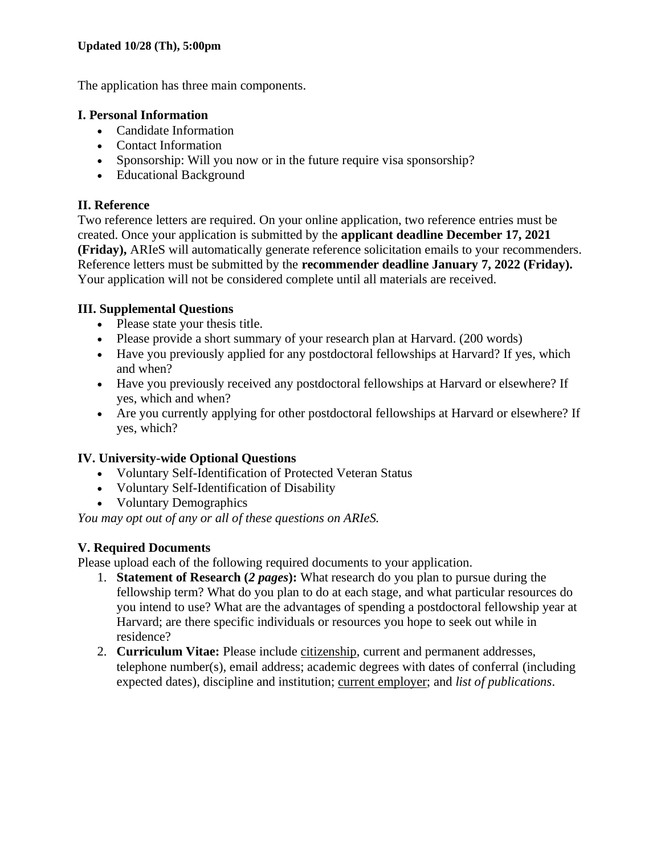The application has three main components.

#### **I. Personal Information**

- Candidate Information
- Contact Information
- Sponsorship: Will you now or in the future require visa sponsorship?
- Educational Background

### **II. Reference**

Two reference letters are required. On your online application, two reference entries must be created. Once your application is submitted by the **applicant deadline December 17, 2021 (Friday),** ARIeS will automatically generate reference solicitation emails to your recommenders. Reference letters must be submitted by the **recommender deadline January 7, 2022 (Friday).** Your application will not be considered complete until all materials are received.

# **III. Supplemental Questions**

- Please state your thesis title.
- Please provide a short summary of your research plan at Harvard. (200 words)
- Have you previously applied for any postdoctoral fellowships at Harvard? If yes, which and when?
- Have you previously received any postdoctoral fellowships at Harvard or elsewhere? If yes, which and when?
- Are you currently applying for other postdoctoral fellowships at Harvard or elsewhere? If yes, which?

# **IV. University-wide Optional Questions**

- Voluntary Self-Identification of Protected Veteran Status
- Voluntary Self-Identification of Disability
- Voluntary Demographics

*You may opt out of any or all of these questions on ARIeS.*

# **V. Required Documents**

Please upload each of the following required documents to your application.

- 1. **Statement of Research (***2 pages***):** What research do you plan to pursue during the fellowship term? What do you plan to do at each stage, and what particular resources do you intend to use? What are the advantages of spending a postdoctoral fellowship year at Harvard; are there specific individuals or resources you hope to seek out while in residence?
- 2. **Curriculum Vitae:** Please include citizenship, current and permanent addresses, telephone number(s), email address; academic degrees with dates of conferral (including expected dates), discipline and institution; current employer; and *list of publications*.